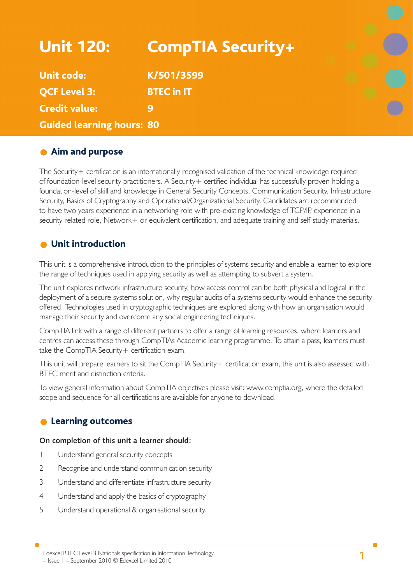| <b>Unit 120:</b>                 | <b>CompTIA Security+</b> |  |
|----------------------------------|--------------------------|--|
| <b>Unit code:</b>                | K/501/3599               |  |
| <b>QCF Level 3:</b>              | <b>BTEC in IT</b>        |  |
| <b>Credit value:</b>             |                          |  |
| <b>Guided learning hours: 80</b> |                          |  |

## **Aim and purpose**

The Security+ certification is an internationally recognised validation of the technical knowledge required of foundation-level security practitioners. A Security + certified individual has successfully proven holding a foundation-level of skill and knowledge in General Security Concepts, Communication Security, Infrastructure Security, Basics of Cryptography and Operational/Organizational Security. Candidates are recommended to have two years experience in a networking role with pre-existing knowledge of TCP/IP, experience in a security related role, Network+ or equivalent certification, and adequate training and self-study materials.

## Unit introduction

This unit is a comprehensive introduction to the principles of systems security and enable a learner to explore the range of techniques used in applying security as well as attempting to subvert a system.

The unit explores network infrastructure security, how access control can be both physical and logical in the deployment of a secure systems solution, why regular audits of a systems security would enhance the security offered. Technologies used in cryptographic techniques are explored along with how an organisation would manage their security and overcome any social engineering techniques.

CompTIA link with a range of different partners to offer a range of learning resources, where learners and centres can access these through CompTIAs Academic learning programme. To attain a pass, learners must take the CompTIA Security+ certification exam.

This unit will prepare learners to sit the CompTIA Security + certification exam, this unit is also assessed with BTEC merit and distinction criteria.

To view general information about CompTIA objectives please visit: www.comptia.org, where the detailed scope and sequence for all certifications are available for anyone to download.

## **C** Learning outcomes

#### **On completion of this unit a learner should:**

- 1 Understand general security concepts
- 2 Recognise and understand communication security
- 3 Understand and differentiate infrastructure security
- 4 Understand and apply the basics of cryptography
- 5 Understand operational & organisational security.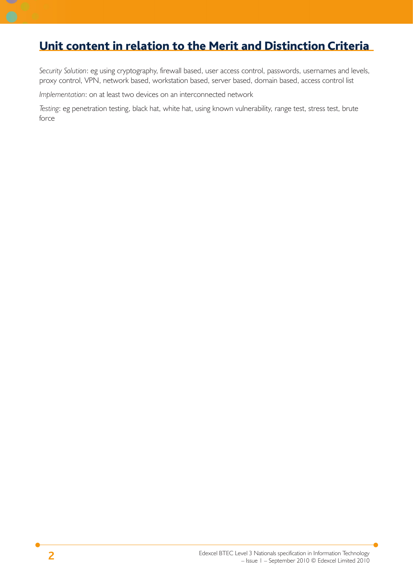## Unit content in relation to the Merit and Distinction Criteria

*Security Solution*: eg using cryptography, firewall based, user access control, passwords, usernames and levels, proxy control, VPN, network based, workstation based, server based, domain based, access control list

*Implementation*: on at least two devices on an interconnected network

*Testing*: eg penetration testing, black hat, white hat, using known vulnerability, range test, stress test, brute force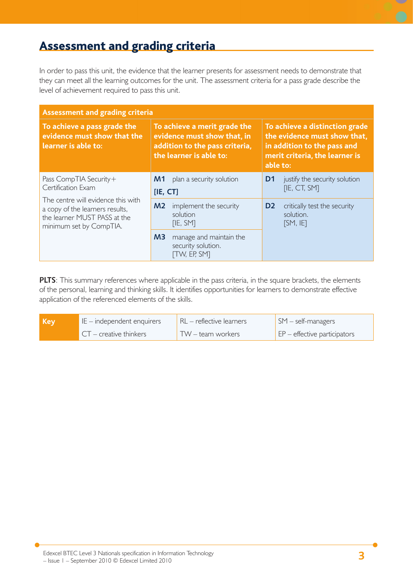# Assessment and grading criteria

In order to pass this unit, the evidence that the learner presents for assessment needs to demonstrate that they can meet all the learning outcomes for the unit. The assessment criteria for a pass grade describe the level of achievement required to pass this unit.

| <b>Assessment and grading criteria</b>                                                                                                                                           |                                                                                                                          |                                                                                                                                             |  |
|----------------------------------------------------------------------------------------------------------------------------------------------------------------------------------|--------------------------------------------------------------------------------------------------------------------------|---------------------------------------------------------------------------------------------------------------------------------------------|--|
| To achieve a pass grade the<br>evidence must show that the<br>learner is able to:                                                                                                | To achieve a merit grade the<br>evidence must show that, in<br>addition to the pass criteria,<br>the learner is able to: | To achieve a distinction grade<br>the evidence must show that,<br>in addition to the pass and<br>merit criteria, the learner is<br>able to: |  |
| Pass CompTIA Security+<br>Certification Exam<br>The centre will evidence this with<br>a copy of the learners results,<br>the learner MUST PASS at the<br>minimum set by CompTIA. | plan a security solution<br>M1<br>[IE, CT]                                                                               | justify the security solution<br>D1<br>[IE, CT, SM]                                                                                         |  |
|                                                                                                                                                                                  | M <sub>2</sub><br>implement the security<br>solution<br>[IE, SM]                                                         | D <sub>2</sub><br>critically test the security<br>solution.<br>[SM, IF]                                                                     |  |
|                                                                                                                                                                                  | M <sub>3</sub><br>manage and maintain the<br>security solution.<br><b>TW, EP, SMT</b>                                    |                                                                                                                                             |  |

**PLTS**: This summary references where applicable in the pass criteria, in the square brackets, the elements of the personal, learning and thinking skills. It identifies opportunities for learners to demonstrate effective application of the referenced elements of the skills.

| l Kev | $IE$ – independent enquirers | $RL$ – reflective learners | $\log 5M - \text{self-managers}$          |
|-------|------------------------------|----------------------------|-------------------------------------------|
|       | $CT -$ creative thinkers     | TW – team workers          | $\mathsf{E}$ EP – effective participators |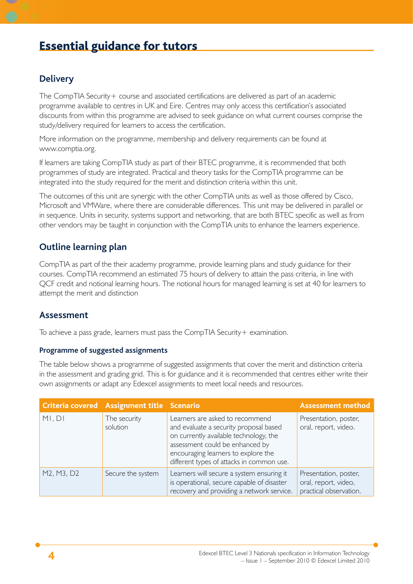# Essential guidance for tutors

## **Delivery**

The CompTIA Security + course and associated certifications are delivered as part of an academic programme available to centres in UK and Eire. Centres may only access this certification's associated discounts from within this programme are advised to seek guidance on what current courses comprise the study/delivery required for learners to access the certification.

More information on the programme, membership and delivery requirements can be found at www.comptia.org.

If learners are taking CompTIA study as part of their BTEC programme, it is recommended that both programmes of study are integrated. Practical and theory tasks for the CompTIA programme can be integrated into the study required for the merit and distinction criteria within this unit.

The outcomes of this unit are synergic with the other CompTIA units as well as those offered by Cisco, Microsoft and VMWare, where there are considerable differences. This unit may be delivered in parallel or in sequence. Units in security, systems support and networking, that are both BTEC specific as well as from other vendors may be taught in conjunction with the CompTIA units to enhance the learners experience.

## **Outline learning plan**

CompTIA as part of the their academy programme, provide learning plans and study guidance for their courses. CompTIA recommend an estimated 75 hours of delivery to attain the pass criteria, in line with QCF credit and notional learning hours. The notional hours for managed learning is set at 40 for learners to attempt the merit and distinction

### **Assessment**

To achieve a pass grade, learners must pass the CompTIA Security + examination.

#### **Programme of suggested assignments**

The table below shows a programme of suggested assignments that cover the merit and distinction criteria in the assessment and grading grid. This is for guidance and it is recommended that centres either write their own assignments or adapt any Edexcel assignments to meet local needs and resources.

|            | Criteria covered Assignment title Scenario |                                                                                                                                                                                                                                            | <b>Assessment method</b>                                                |
|------------|--------------------------------------------|--------------------------------------------------------------------------------------------------------------------------------------------------------------------------------------------------------------------------------------------|-------------------------------------------------------------------------|
| MI, DI     | The security<br>solution                   | Learners are asked to recommend<br>and evaluate a security proposal based<br>on currently available technology, the<br>assessment could be enhanced by<br>encouraging learners to explore the<br>different types of attacks in common use. | Presentation, poster,<br>oral, report, video.                           |
| M2, M3, D2 | Secure the system                          | Learners will secure a system ensuring it<br>is operational, secure capable of disaster<br>recovery and providing a network service.                                                                                                       | Presentation, poster,<br>oral, report, video,<br>practical observation. |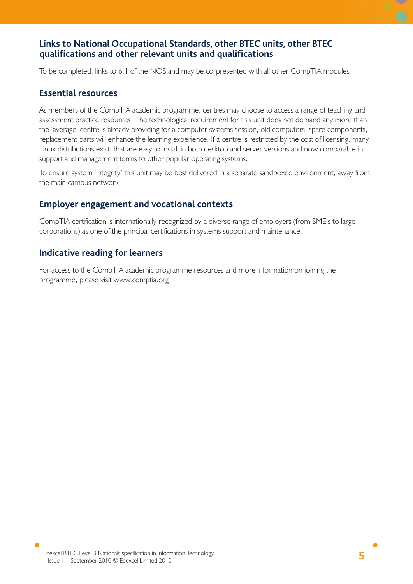## **Links to National Occupational Standards, other BTEC units, other BTEC qualifi cations and other relevant units and qualifi cations**

To be completed, links to 6.1 of the NOS and may be co-presented with all other CompTIA modules

### **Essential resources**

As members of the CompTIA academic programme, centres may choose to access a range of teaching and assessment practice resources. The technological requirement for this unit does not demand any more than the 'average' centre is already providing for a computer systems session, old computers, spare components, replacement parts will enhance the learning experience. If a centre is restricted by the cost of licensing, many Linux distributions exist, that are easy to install in both desktop and server versions and now comparable in support and management terms to other popular operating systems.

To ensure system 'integrity' this unit may be best delivered in a separate sandboxed environment, away from the main campus network.

## **Employer engagement and vocational contexts**

CompTIA certification is internationally recognized by a diverse range of employers (from SME's to large corporations) as one of the principal certifications in systems support and maintenance.

## **Indicative reading for learners**

For access to the CompTIA academic programme resources and more information on joining the programme, please visit www.comptia.org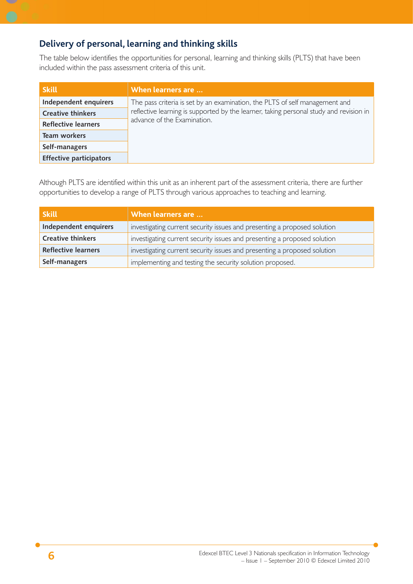## **Delivery of personal, learning and thinking skills**

The table below identifies the opportunities for personal, learning and thinking skills (PLTS) that have been included within the pass assessment criteria of this unit.

| <b>Skill</b>                   | When learners are                                                                                                     |
|--------------------------------|-----------------------------------------------------------------------------------------------------------------------|
| Independent enquirers          | The pass criteria is set by an examination, the PLTS of self management and                                           |
| <b>Creative thinkers</b>       | reflective learning is supported by the learner, taking personal study and revision in<br>advance of the Examination. |
| <b>Reflective learners</b>     |                                                                                                                       |
| Team workers                   |                                                                                                                       |
| Self-managers                  |                                                                                                                       |
| <b>Effective participators</b> |                                                                                                                       |

Although PLTS are identified within this unit as an inherent part of the assessment criteria, there are further opportunities to develop a range of PLTS through various approaches to teaching and learning.

| <b>Skill</b>             | When learners are $$                                                     |  |
|--------------------------|--------------------------------------------------------------------------|--|
| Independent enquirers    | investigating current security issues and presenting a proposed solution |  |
| <b>Creative thinkers</b> | investigating current security issues and presenting a proposed solution |  |
| Reflective learners      | investigating current security issues and presenting a proposed solution |  |
| Self-managers            | implementing and testing the security solution proposed.                 |  |